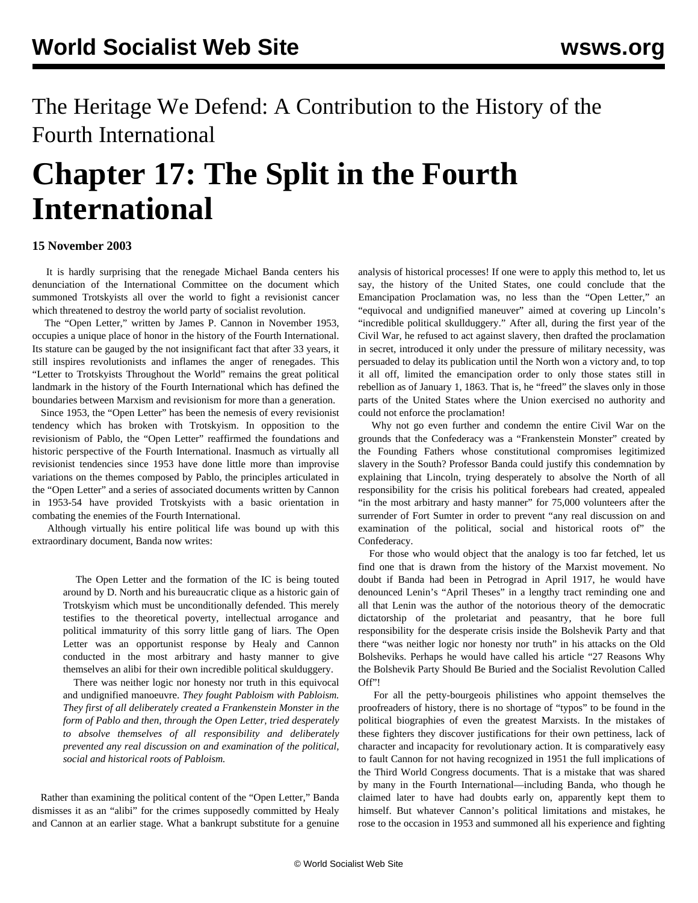## The Heritage We Defend: A Contribution to the History of the Fourth International

## **Chapter 17: The Split in the Fourth International**

## **15 November 2003**

 It is hardly surprising that the renegade Michael Banda centers his denunciation of the International Committee on the document which summoned Trotskyists all over the world to fight a revisionist cancer which threatened to destroy the world party of socialist revolution.

The "Open Letter," written by James P. Cannon in November 1953, occupies a unique place of honor in the history of the Fourth International. Its stature can be gauged by the not insignificant fact that after 33 years, it still inspires revolutionists and inflames the anger of renegades. This "Letter to Trotskyists Throughout the World" remains the great political landmark in the history of the Fourth International which has defined the boundaries between Marxism and revisionism for more than a generation.

 Since 1953, the "Open Letter" has been the nemesis of every revisionist tendency which has broken with Trotskyism. In opposition to the revisionism of Pablo, the "Open Letter" reaffirmed the foundations and historic perspective of the Fourth International. Inasmuch as virtually all revisionist tendencies since 1953 have done little more than improvise variations on the themes composed by Pablo, the principles articulated in the "Open Letter" and a series of associated documents written by Cannon in 1953-54 have provided Trotskyists with a basic orientation in combating the enemies of the Fourth International.

 Although virtually his entire political life was bound up with this extraordinary document, Banda now writes:

 The Open Letter and the formation of the IC is being touted around by D. North and his bureaucratic clique as a historic gain of Trotskyism which must be unconditionally defended. This merely testifies to the theoretical poverty, intellectual arrogance and political immaturity of this sorry little gang of liars. The Open Letter was an opportunist response by Healy and Cannon conducted in the most arbitrary and hasty manner to give themselves an alibi for their own incredible political skulduggery.

 There was neither logic nor honesty nor truth in this equivocal and undignified manoeuvre. *They fought Pabloism with Pabloism. They first of all deliberately created a Frankenstein Monster in the form of Pablo and then, through the Open Letter, tried desperately to absolve themselves of all responsibility and deliberately prevented any real discussion on and examination of the political, social and historical roots of Pabloism.*

 Rather than examining the political content of the "Open Letter," Banda dismisses it as an "alibi" for the crimes supposedly committed by Healy and Cannon at an earlier stage. What a bankrupt substitute for a genuine analysis of historical processes! If one were to apply this method to, let us say, the history of the United States, one could conclude that the Emancipation Proclamation was, no less than the "Open Letter," an "equivocal and undignified maneuver" aimed at covering up Lincoln's "incredible political skullduggery." After all, during the first year of the Civil War, he refused to act against slavery, then drafted the proclamation in secret, introduced it only under the pressure of military necessity, was persuaded to delay its publication until the North won a victory and, to top it all off, limited the emancipation order to only those states still in rebellion as of January 1, 1863. That is, he "freed" the slaves only in those parts of the United States where the Union exercised no authority and could not enforce the proclamation!

 Why not go even further and condemn the entire Civil War on the grounds that the Confederacy was a "Frankenstein Monster" created by the Founding Fathers whose constitutional compromises legitimized slavery in the South? Professor Banda could justify this condemnation by explaining that Lincoln, trying desperately to absolve the North of all responsibility for the crisis his political forebears had created, appealed "in the most arbitrary and hasty manner" for 75,000 volunteers after the surrender of Fort Sumter in order to prevent "any real discussion on and examination of the political, social and historical roots of" the Confederacy.

 For those who would object that the analogy is too far fetched, let us find one that is drawn from the history of the Marxist movement. No doubt if Banda had been in Petrograd in April 1917, he would have denounced Lenin's "April Theses" in a lengthy tract reminding one and all that Lenin was the author of the notorious theory of the democratic dictatorship of the proletariat and peasantry, that he bore full responsibility for the desperate crisis inside the Bolshevik Party and that there "was neither logic nor honesty nor truth" in his attacks on the Old Bolsheviks. Perhaps he would have called his article "27 Reasons Why the Bolshevik Party Should Be Buried and the Socialist Revolution Called Off"!

 For all the petty-bourgeois philistines who appoint themselves the proofreaders of history, there is no shortage of "typos" to be found in the political biographies of even the greatest Marxists. In the mistakes of these fighters they discover justifications for their own pettiness, lack of character and incapacity for revolutionary action. It is comparatively easy to fault Cannon for not having recognized in 1951 the full implications of the Third World Congress documents. That is a mistake that was shared by many in the Fourth International—including Banda, who though he claimed later to have had doubts early on, apparently kept them to himself. But whatever Cannon's political limitations and mistakes, he rose to the occasion in 1953 and summoned all his experience and fighting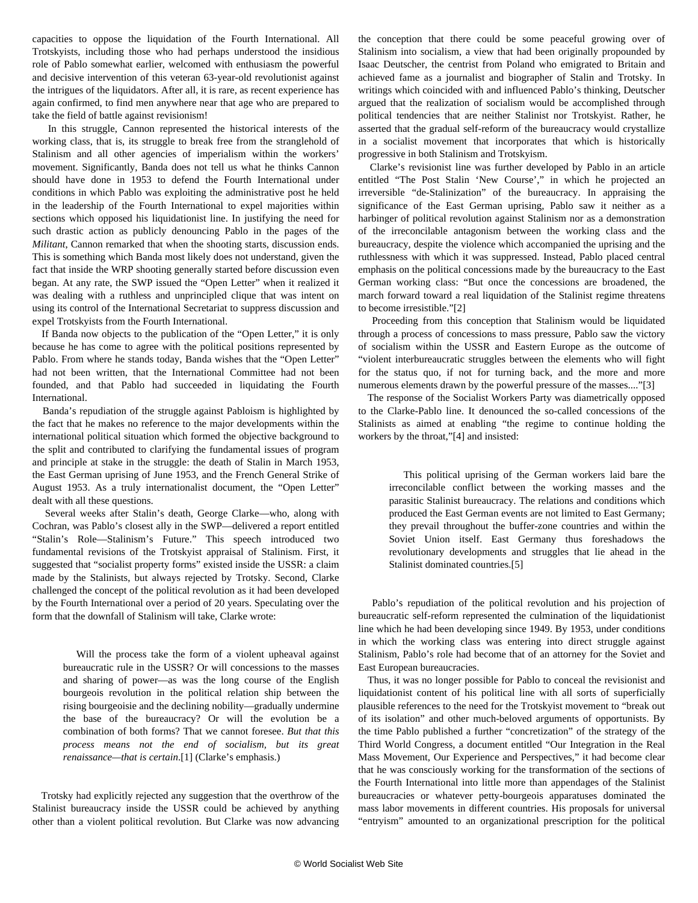capacities to oppose the liquidation of the Fourth International. All Trotskyists, including those who had perhaps understood the insidious role of Pablo somewhat earlier, welcomed with enthusiasm the powerful and decisive intervention of this veteran 63-year-old revolutionist against the intrigues of the liquidators. After all, it is rare, as recent experience has again confirmed, to find men anywhere near that age who are prepared to take the field of battle against revisionism!

 In this struggle, Cannon represented the historical interests of the working class, that is, its struggle to break free from the stranglehold of Stalinism and all other agencies of imperialism within the workers' movement. Significantly, Banda does not tell us what he thinks Cannon should have done in 1953 to defend the Fourth International under conditions in which Pablo was exploiting the administrative post he held in the leadership of the Fourth International to expel majorities within sections which opposed his liquidationist line. In justifying the need for such drastic action as publicly denouncing Pablo in the pages of the *Militant*, Cannon remarked that when the shooting starts, discussion ends. This is something which Banda most likely does not understand, given the fact that inside the WRP shooting generally started before discussion even began. At any rate, the SWP issued the "Open Letter" when it realized it was dealing with a ruthless and unprincipled clique that was intent on using its control of the International Secretariat to suppress discussion and expel Trotskyists from the Fourth International.

 If Banda now objects to the publication of the "Open Letter," it is only because he has come to agree with the political positions represented by Pablo. From where he stands today, Banda wishes that the "Open Letter" had not been written, that the International Committee had not been founded, and that Pablo had succeeded in liquidating the Fourth International.

 Banda's repudiation of the struggle against Pabloism is highlighted by the fact that he makes no reference to the major developments within the international political situation which formed the objective background to the split and contributed to clarifying the fundamental issues of program and principle at stake in the struggle: the death of Stalin in March 1953, the East German uprising of June 1953, and the French General Strike of August 1953. As a truly internationalist document, the "Open Letter" dealt with all these questions.

 Several weeks after Stalin's death, George Clarke—who, along with Cochran, was Pablo's closest ally in the SWP—delivered a report entitled "Stalin's Role—Stalinism's Future." This speech introduced two fundamental revisions of the Trotskyist appraisal of Stalinism. First, it suggested that "socialist property forms" existed inside the USSR: a claim made by the Stalinists, but always rejected by Trotsky. Second, Clarke challenged the concept of the political revolution as it had been developed by the Fourth International over a period of 20 years. Speculating over the form that the downfall of Stalinism will take, Clarke wrote:

 Will the process take the form of a violent upheaval against bureaucratic rule in the USSR? Or will concessions to the masses and sharing of power—as was the long course of the English bourgeois revolution in the political relation ship between the rising bourgeoisie and the declining nobility—gradually undermine the base of the bureaucracy? Or will the evolution be a combination of both forms? That we cannot foresee. *But that this process means not the end of socialism, but its great renaissance—that is certain*.[1] (Clarke's emphasis.)

 Trotsky had explicitly rejected any suggestion that the overthrow of the Stalinist bureaucracy inside the USSR could be achieved by anything other than a violent political revolution. But Clarke was now advancing the conception that there could be some peaceful growing over of Stalinism into socialism, a view that had been originally propounded by Isaac Deutscher, the centrist from Poland who emigrated to Britain and achieved fame as a journalist and biographer of Stalin and Trotsky. In writings which coincided with and influenced Pablo's thinking, Deutscher argued that the realization of socialism would be accomplished through political tendencies that are neither Stalinist nor Trotskyist. Rather, he asserted that the gradual self-reform of the bureaucracy would crystallize in a socialist movement that incorporates that which is historically progressive in both Stalinism and Trotskyism.

 Clarke's revisionist line was further developed by Pablo in an article entitled "The Post Stalin 'New Course'," in which he projected an irreversible "de-Stalinization" of the bureaucracy. In appraising the significance of the East German uprising, Pablo saw it neither as a harbinger of political revolution against Stalinism nor as a demonstration of the irreconcilable antagonism between the working class and the bureaucracy, despite the violence which accompanied the uprising and the ruthlessness with which it was suppressed. Instead, Pablo placed central emphasis on the political concessions made by the bureaucracy to the East German working class: "But once the concessions are broadened, the march forward toward a real liquidation of the Stalinist regime threatens to become irresistible."[2]

 Proceeding from this conception that Stalinism would be liquidated through a process of concessions to mass pressure, Pablo saw the victory of socialism within the USSR and Eastern Europe as the outcome of "violent interbureaucratic struggles between the elements who will fight for the status quo, if not for turning back, and the more and more numerous elements drawn by the powerful pressure of the masses...."[3]

 The response of the Socialist Workers Party was diametrically opposed to the Clarke-Pablo line. It denounced the so-called concessions of the Stalinists as aimed at enabling "the regime to continue holding the workers by the throat,"[4] and insisted:

 This political uprising of the German workers laid bare the irreconcilable conflict between the working masses and the parasitic Stalinist bureaucracy. The relations and conditions which produced the East German events are not limited to East Germany; they prevail throughout the buffer-zone countries and within the Soviet Union itself. East Germany thus foreshadows the revolutionary developments and struggles that lie ahead in the Stalinist dominated countries.[5]

 Pablo's repudiation of the political revolution and his projection of bureaucratic self-reform represented the culmination of the liquidationist line which he had been developing since 1949. By 1953, under conditions in which the working class was entering into direct struggle against Stalinism, Pablo's role had become that of an attorney for the Soviet and East European bureaucracies.

 Thus, it was no longer possible for Pablo to conceal the revisionist and liquidationist content of his political line with all sorts of superficially plausible references to the need for the Trotskyist movement to "break out of its isolation" and other much-beloved arguments of opportunists. By the time Pablo published a further "concretization" of the strategy of the Third World Congress, a document entitled "Our Integration in the Real Mass Movement, Our Experience and Perspectives," it had become clear that he was consciously working for the transformation of the sections of the Fourth International into little more than appendages of the Stalinist bureaucracies or whatever petty-bourgeois apparatuses dominated the mass labor movements in different countries. His proposals for universal "entryism" amounted to an organizational prescription for the political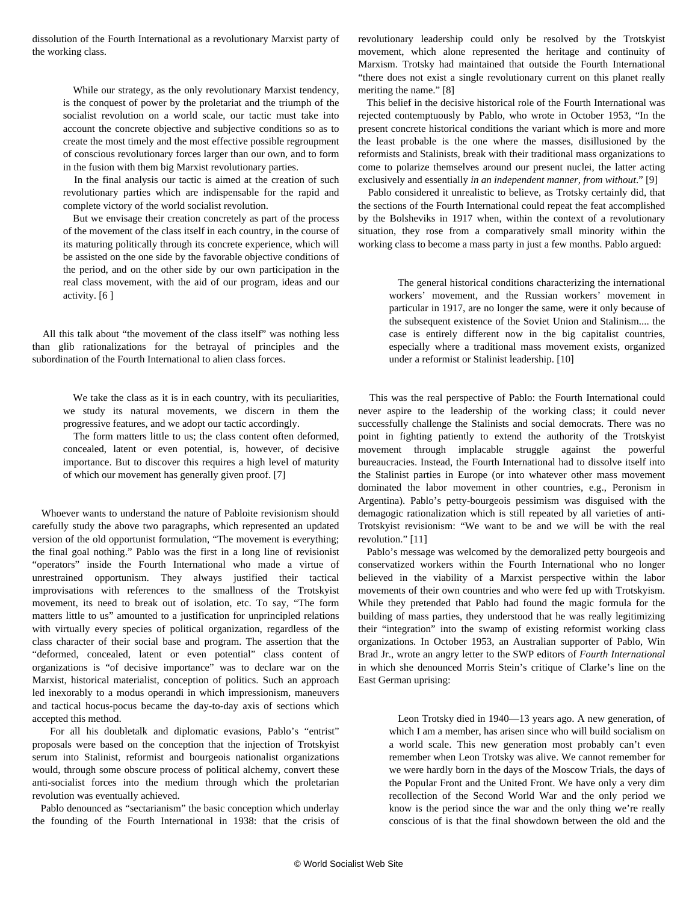dissolution of the Fourth International as a revolutionary Marxist party of the working class.

 While our strategy, as the only revolutionary Marxist tendency, is the conquest of power by the proletariat and the triumph of the socialist revolution on a world scale, our tactic must take into account the concrete objective and subjective conditions so as to create the most timely and the most effective possible regroupment of conscious revolutionary forces larger than our own, and to form in the fusion with them big Marxist revolutionary parties.

 In the final analysis our tactic is aimed at the creation of such revolutionary parties which are indispensable for the rapid and complete victory of the world socialist revolution.

 But we envisage their creation concretely as part of the process of the movement of the class itself in each country, in the course of its maturing politically through its concrete experience, which will be assisted on the one side by the favorable objective conditions of the period, and on the other side by our own participation in the real class movement, with the aid of our program, ideas and our activity. [6 ]

 All this talk about "the movement of the class itself" was nothing less than glib rationalizations for the betrayal of principles and the subordination of the Fourth International to alien class forces.

> We take the class as it is in each country, with its peculiarities, we study its natural movements, we discern in them the progressive features, and we adopt our tactic accordingly.

> The form matters little to us; the class content often deformed, concealed, latent or even potential, is, however, of decisive importance. But to discover this requires a high level of maturity of which our movement has generally given proof. [7]

 Whoever wants to understand the nature of Pabloite revisionism should carefully study the above two paragraphs, which represented an updated version of the old opportunist formulation, "The movement is everything; the final goal nothing." Pablo was the first in a long line of revisionist "operators" inside the Fourth International who made a virtue of unrestrained opportunism. They always justified their tactical improvisations with references to the smallness of the Trotskyist movement, its need to break out of isolation, etc. To say, "The form matters little to us" amounted to a justification for unprincipled relations with virtually every species of political organization, regardless of the class character of their social base and program. The assertion that the "deformed, concealed, latent or even potential" class content of organizations is "of decisive importance" was to declare war on the Marxist, historical materialist, conception of politics. Such an approach led inexorably to a modus operandi in which impressionism, maneuvers and tactical hocus-pocus became the day-to-day axis of sections which accepted this method.

 For all his doubletalk and diplomatic evasions, Pablo's "entrist" proposals were based on the conception that the injection of Trotskyist serum into Stalinist, reformist and bourgeois nationalist organizations would, through some obscure process of political alchemy, convert these anti-socialist forces into the medium through which the proletarian revolution was eventually achieved.

 Pablo denounced as "sectarianism" the basic conception which underlay the founding of the Fourth International in 1938: that the crisis of revolutionary leadership could only be resolved by the Trotskyist movement, which alone represented the heritage and continuity of Marxism. Trotsky had maintained that outside the Fourth International "there does not exist a single revolutionary current on this planet really meriting the name." [8]

 This belief in the decisive historical role of the Fourth International was rejected contemptuously by Pablo, who wrote in October 1953, "In the present concrete historical conditions the variant which is more and more the least probable is the one where the masses, disillusioned by the reformists and Stalinists, break with their traditional mass organizations to come to polarize themselves around our present nuclei, the latter acting exclusively and essentially *in an independent manner, from without*." [9]

 Pablo considered it unrealistic to believe, as Trotsky certainly did, that the sections of the Fourth International could repeat the feat accomplished by the Bolsheviks in 1917 when, within the context of a revolutionary situation, they rose from a comparatively small minority within the working class to become a mass party in just a few months. Pablo argued:

 The general historical conditions characterizing the international workers' movement, and the Russian workers' movement in particular in 1917, are no longer the same, were it only because of the subsequent existence of the Soviet Union and Stalinism.... the case is entirely different now in the big capitalist countries, especially where a traditional mass movement exists, organized under a reformist or Stalinist leadership. [10]

 This was the real perspective of Pablo: the Fourth International could never aspire to the leadership of the working class; it could never successfully challenge the Stalinists and social democrats. There was no point in fighting patiently to extend the authority of the Trotskyist movement through implacable struggle against the powerful bureaucracies. Instead, the Fourth International had to dissolve itself into the Stalinist parties in Europe (or into whatever other mass movement dominated the labor movement in other countries, e.g., Peronism in Argentina). Pablo's petty-bourgeois pessimism was disguised with the demagogic rationalization which is still repeated by all varieties of anti-Trotskyist revisionism: "We want to be and we will be with the real revolution." [11]

 Pablo's message was welcomed by the demoralized petty bourgeois and conservatized workers within the Fourth International who no longer believed in the viability of a Marxist perspective within the labor movements of their own countries and who were fed up with Trotskyism. While they pretended that Pablo had found the magic formula for the building of mass parties, they understood that he was really legitimizing their "integration" into the swamp of existing reformist working class organizations. In October 1953, an Australian supporter of Pablo, Win Brad Jr., wrote an angry letter to the SWP editors of *Fourth International* in which she denounced Morris Stein's critique of Clarke's line on the East German uprising:

 Leon Trotsky died in 1940—13 years ago. A new generation, of which I am a member, has arisen since who will build socialism on a world scale. This new generation most probably can't even remember when Leon Trotsky was alive. We cannot remember for we were hardly born in the days of the Moscow Trials, the days of the Popular Front and the United Front. We have only a very dim recollection of the Second World War and the only period we know is the period since the war and the only thing we're really conscious of is that the final showdown between the old and the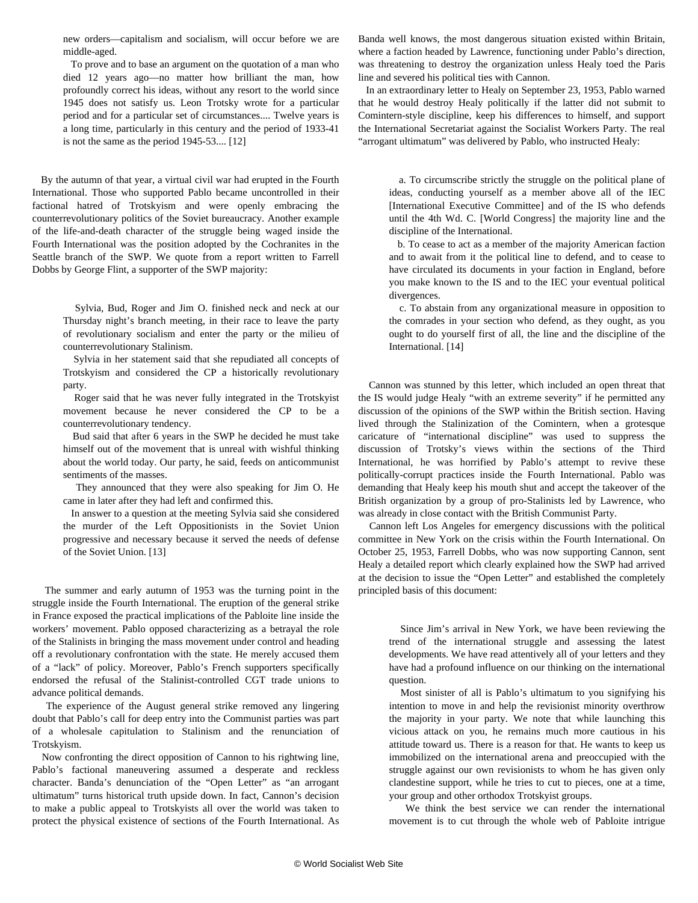new orders—capitalism and socialism, will occur before we are middle-aged.

 To prove and to base an argument on the quotation of a man who died 12 years ago—no matter how brilliant the man, how profoundly correct his ideas, without any resort to the world since 1945 does not satisfy us. Leon Trotsky wrote for a particular period and for a particular set of circumstances.... Twelve years is a long time, particularly in this century and the period of 1933-41 is not the same as the period 1945-53.... [12]

 By the autumn of that year, a virtual civil war had erupted in the Fourth International. Those who supported Pablo became uncontrolled in their factional hatred of Trotskyism and were openly embracing the counterrevolutionary politics of the Soviet bureaucracy. Another example of the life-and-death character of the struggle being waged inside the Fourth International was the position adopted by the Cochranites in the Seattle branch of the SWP. We quote from a report written to Farrell Dobbs by George Flint, a supporter of the SWP majority:

 Sylvia, Bud, Roger and Jim O. finished neck and neck at our Thursday night's branch meeting, in their race to leave the party of revolutionary socialism and enter the party or the milieu of counterrevolutionary Stalinism.

 Sylvia in her statement said that she repudiated all concepts of Trotskyism and considered the CP a historically revolutionary party.

 Roger said that he was never fully integrated in the Trotskyist movement because he never considered the CP to be a counterrevolutionary tendency.

 Bud said that after 6 years in the SWP he decided he must take himself out of the movement that is unreal with wishful thinking about the world today. Our party, he said, feeds on anticommunist sentiments of the masses.

 They announced that they were also speaking for Jim O. He came in later after they had left and confirmed this.

 In answer to a question at the meeting Sylvia said she considered the murder of the Left Oppositionists in the Soviet Union progressive and necessary because it served the needs of defense of the Soviet Union. [13]

 The summer and early autumn of 1953 was the turning point in the struggle inside the Fourth International. The eruption of the general strike in France exposed the practical implications of the Pabloite line inside the workers' movement. Pablo opposed characterizing as a betrayal the role of the Stalinists in bringing the mass movement under control and heading off a revolutionary confrontation with the state. He merely accused them of a "lack" of policy. Moreover, Pablo's French supporters specifically endorsed the refusal of the Stalinist-controlled CGT trade unions to advance political demands.

 The experience of the August general strike removed any lingering doubt that Pablo's call for deep entry into the Communist parties was part of a wholesale capitulation to Stalinism and the renunciation of Trotskyism.

 Now confronting the direct opposition of Cannon to his rightwing line, Pablo's factional maneuvering assumed a desperate and reckless character. Banda's denunciation of the "Open Letter" as "an arrogant ultimatum" turns historical truth upside down. In fact, Cannon's decision to make a public appeal to Trotskyists all over the world was taken to protect the physical existence of sections of the Fourth International. As Banda well knows, the most dangerous situation existed within Britain, where a faction headed by Lawrence, functioning under Pablo's direction, was threatening to destroy the organization unless Healy toed the Paris line and severed his political ties with Cannon.

 In an extraordinary letter to Healy on September 23, 1953, Pablo warned that he would destroy Healy politically if the latter did not submit to Comintern-style discipline, keep his differences to himself, and support the International Secretariat against the Socialist Workers Party. The real "arrogant ultimatum" was delivered by Pablo, who instructed Healy:

 a. To circumscribe strictly the struggle on the political plane of ideas, conducting yourself as a member above all of the IEC [International Executive Committee] and of the IS who defends until the 4th Wd. C. [World Congress] the majority line and the discipline of the International.

 b. To cease to act as a member of the majority American faction and to await from it the political line to defend, and to cease to have circulated its documents in your faction in England, before you make known to the IS and to the IEC your eventual political divergences.

 c. To abstain from any organizational measure in opposition to the comrades in your section who defend, as they ought, as you ought to do yourself first of all, the line and the discipline of the International. [14]

 Cannon was stunned by this letter, which included an open threat that the IS would judge Healy "with an extreme severity" if he permitted any discussion of the opinions of the SWP within the British section. Having lived through the Stalinization of the Comintern, when a grotesque caricature of "international discipline" was used to suppress the discussion of Trotsky's views within the sections of the Third International, he was horrified by Pablo's attempt to revive these politically-corrupt practices inside the Fourth International. Pablo was demanding that Healy keep his mouth shut and accept the takeover of the British organization by a group of pro-Stalinists led by Lawrence, who was already in close contact with the British Communist Party.

 Cannon left Los Angeles for emergency discussions with the political committee in New York on the crisis within the Fourth International. On October 25, 1953, Farrell Dobbs, who was now supporting Cannon, sent Healy a detailed report which clearly explained how the SWP had arrived at the decision to issue the "Open Letter" and established the completely principled basis of this document:

 Since Jim's arrival in New York, we have been reviewing the trend of the international struggle and assessing the latest developments. We have read attentively all of your letters and they have had a profound influence on our thinking on the international question.

 Most sinister of all is Pablo's ultimatum to you signifying his intention to move in and help the revisionist minority overthrow the majority in your party. We note that while launching this vicious attack on you, he remains much more cautious in his attitude toward us. There is a reason for that. He wants to keep us immobilized on the international arena and preoccupied with the struggle against our own revisionists to whom he has given only clandestine support, while he tries to cut to pieces, one at a time, your group and other orthodox Trotskyist groups.

 We think the best service we can render the international movement is to cut through the whole web of Pabloite intrigue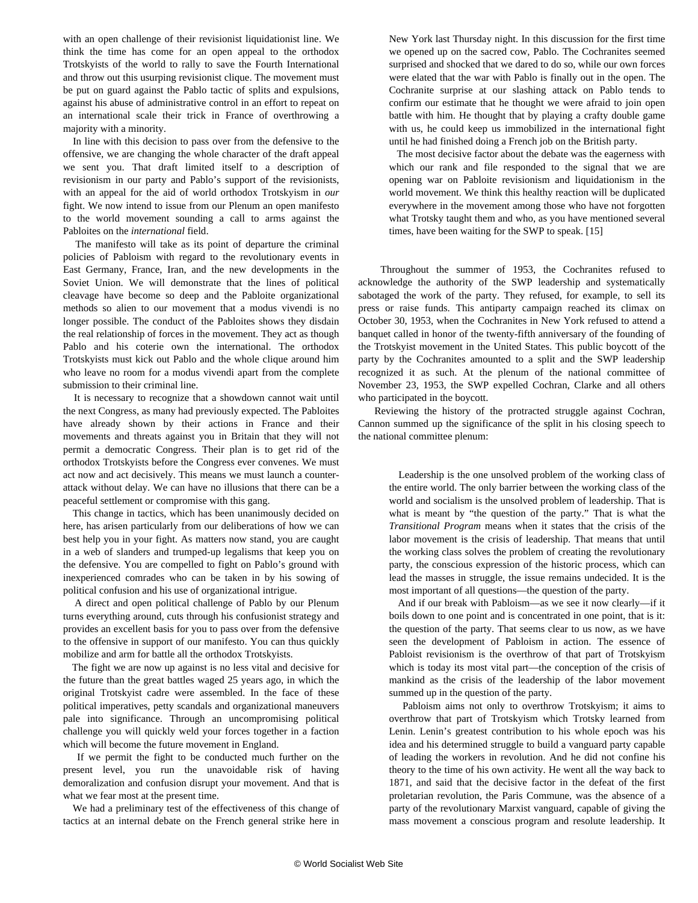with an open challenge of their revisionist liquidationist line. We think the time has come for an open appeal to the orthodox Trotskyists of the world to rally to save the Fourth International and throw out this usurping revisionist clique. The movement must be put on guard against the Pablo tactic of splits and expulsions, against his abuse of administrative control in an effort to repeat on an international scale their trick in France of overthrowing a majority with a minority.

 In line with this decision to pass over from the defensive to the offensive, we are changing the whole character of the draft appeal we sent you. That draft limited itself to a description of revisionism in our party and Pablo's support of the revisionists, with an appeal for the aid of world orthodox Trotskyism in *our* fight. We now intend to issue from our Plenum an open manifesto to the world movement sounding a call to arms against the Pabloites on the *international* field.

 The manifesto will take as its point of departure the criminal policies of Pabloism with regard to the revolutionary events in East Germany, France, Iran, and the new developments in the Soviet Union. We will demonstrate that the lines of political cleavage have become so deep and the Pabloite organizational methods so alien to our movement that a modus vivendi is no longer possible. The conduct of the Pabloites shows they disdain the real relationship of forces in the movement. They act as though Pablo and his coterie own the international. The orthodox Trotskyists must kick out Pablo and the whole clique around him who leave no room for a modus vivendi apart from the complete submission to their criminal line.

 It is necessary to recognize that a showdown cannot wait until the next Congress, as many had previously expected. The Pabloites have already shown by their actions in France and their movements and threats against you in Britain that they will not permit a democratic Congress. Their plan is to get rid of the orthodox Trotskyists before the Congress ever convenes. We must act now and act decisively. This means we must launch a counterattack without delay. We can have no illusions that there can be a peaceful settlement or compromise with this gang.

 This change in tactics, which has been unanimously decided on here, has arisen particularly from our deliberations of how we can best help you in your fight. As matters now stand, you are caught in a web of slanders and trumped-up legalisms that keep you on the defensive. You are compelled to fight on Pablo's ground with inexperienced comrades who can be taken in by his sowing of political confusion and his use of organizational intrigue.

 A direct and open political challenge of Pablo by our Plenum turns everything around, cuts through his confusionist strategy and provides an excellent basis for you to pass over from the defensive to the offensive in support of our manifesto. You can thus quickly mobilize and arm for battle all the orthodox Trotskyists.

 The fight we are now up against is no less vital and decisive for the future than the great battles waged 25 years ago, in which the original Trotskyist cadre were assembled. In the face of these political imperatives, petty scandals and organizational maneuvers pale into significance. Through an uncompromising political challenge you will quickly weld your forces together in a faction which will become the future movement in England.

 If we permit the fight to be conducted much further on the present level, you run the unavoidable risk of having demoralization and confusion disrupt your movement. And that is what we fear most at the present time.

 We had a preliminary test of the effectiveness of this change of tactics at an internal debate on the French general strike here in

New York last Thursday night. In this discussion for the first time we opened up on the sacred cow, Pablo. The Cochranites seemed surprised and shocked that we dared to do so, while our own forces were elated that the war with Pablo is finally out in the open. The Cochranite surprise at our slashing attack on Pablo tends to confirm our estimate that he thought we were afraid to join open battle with him. He thought that by playing a crafty double game with us, he could keep us immobilized in the international fight until he had finished doing a French job on the British party.

 The most decisive factor about the debate was the eagerness with which our rank and file responded to the signal that we are opening war on Pabloite revisionism and liquidationism in the world movement. We think this healthy reaction will be duplicated everywhere in the movement among those who have not forgotten what Trotsky taught them and who, as you have mentioned several times, have been waiting for the SWP to speak. [15]

 Throughout the summer of 1953, the Cochranites refused to acknowledge the authority of the SWP leadership and systematically sabotaged the work of the party. They refused, for example, to sell its press or raise funds. This antiparty campaign reached its climax on October 30, 1953, when the Cochranites in New York refused to attend a banquet called in honor of the twenty-fifth anniversary of the founding of the Trotskyist movement in the United States. This public boycott of the party by the Cochranites amounted to a split and the SWP leadership recognized it as such. At the plenum of the national committee of November 23, 1953, the SWP expelled Cochran, Clarke and all others who participated in the boycott.

 Reviewing the history of the protracted struggle against Cochran, Cannon summed up the significance of the split in his closing speech to the national committee plenum:

 Leadership is the one unsolved problem of the working class of the entire world. The only barrier between the working class of the world and socialism is the unsolved problem of leadership. That is what is meant by "the question of the party." That is what the *Transitional Program* means when it states that the crisis of the labor movement is the crisis of leadership. That means that until the working class solves the problem of creating the revolutionary party, the conscious expression of the historic process, which can lead the masses in struggle, the issue remains undecided. It is the most important of all questions—the question of the party.

 And if our break with Pabloism—as we see it now clearly—if it boils down to one point and is concentrated in one point, that is it: the question of the party. That seems clear to us now, as we have seen the development of Pabloism in action. The essence of Pabloist revisionism is the overthrow of that part of Trotskyism which is today its most vital part—the conception of the crisis of mankind as the crisis of the leadership of the labor movement summed up in the question of the party.

 Pabloism aims not only to overthrow Trotskyism; it aims to overthrow that part of Trotskyism which Trotsky learned from Lenin. Lenin's greatest contribution to his whole epoch was his idea and his determined struggle to build a vanguard party capable of leading the workers in revolution. And he did not confine his theory to the time of his own activity. He went all the way back to 1871, and said that the decisive factor in the defeat of the first proletarian revolution, the Paris Commune, was the absence of a party of the revolutionary Marxist vanguard, capable of giving the mass movement a conscious program and resolute leadership. It